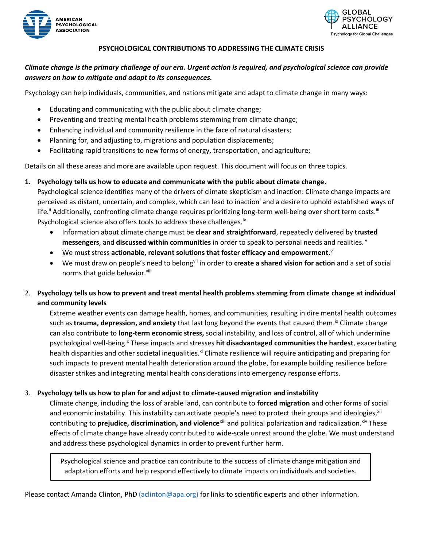



### **PSYCHOLOGICAL CONTRIBUTIONS TO ADDRESSING THE CLIMATE CRISIS**

# *Climate change is the primary challenge of our era. Urgent action is required, and psychological science can provide answers on how to mitigate and adapt to its consequences.*

Psychology can help individuals, communities, and nations mitigate and adapt to climate change in many ways:

- Educating and communicating with the public about climate change;
- Preventing and treating mental health problems stemming from climate change;
- Enhancing individual and community resilience in the face of natural disasters;
- Planning for, and adjusting to, migrations and population displacements;
- Facilitating rapid transitions to new forms of energy, transportation, and agriculture;

Details on all these areas and more are available upon request. This document will focus on three topics.

**1. Psychology tells us how to educate and communicate with the public about climate change.** 

Psychological science identifies many of the drivers of climate skepticism and inaction: Climate change impacts are perceived as distant, uncertain, and complex, which can lead to inaction<sup>i</sup> and a desire to uphold established ways of life.<sup>ii</sup> Additionally, confronting climate change requires prioritizing long-term well-being over short term costs.<sup>iii</sup> Psychological science also offers tools to address these challenges.<sup>iv</sup>

- Information about climate change must be **clear and straightforward**, repeatedly delivered by **trusted messengers**, and **discussed within communities** in order to speak to personal needs and realities. <sup>v</sup>
- We must stress **actionable, relevant solutions that foster efficacy and empowerment**. vi
- We must draw on people's need to belongvii in order to **create a shared vision for action** and a set of social norms that guide behavior.<sup>viii</sup>

# 2. **Psychology tells us how to prevent and treat mental health problems stemming from climate change at individual and community levels**

Extreme weather events can damage health, homes, and communities, resulting in dire mental health outcomes such as trauma, depression, and anxiety that last long beyond the events that caused them.<sup>ix</sup> Climate change can also contribute to **long-term economic stress,** social instability, and loss of control, all of which undermine psychological well-being.<sup>x</sup> These impacts and stresses **hit disadvantaged communities the hardest**, exacerbating health disparities and other societal inequalities.<sup>xi</sup> Climate resilience will require anticipating and preparing for such impacts to prevent mental health deterioration around the globe, for example building resilience before disaster strikes and integrating mental health considerations into emergency response efforts.

### 3. **Psychology tells us how to plan for and adjust to climate-caused migration and instability**

Climate change, including the loss of arable land, can contribute to **forced migration** and other forms of social and economic instability. This instability can activate people's need to protect their groups and ideologies,<sup>xii</sup> contributing to **prejudice, discrimination, and violence**<sup>xiii</sup> and political polarization and radicalization.<sup>xiv</sup> These effects of climate change have already contributed to wide-scale unrest around the globe. We must understand and address these psychological dynamics in order to prevent further harm.

Psychological science and practice can contribute to the success of climate change mitigation and adaptation efforts and help respond effectively to climate impacts on individuals and societies.

Please contact Amanda Clinton, PhD [\(aclinton@apa.org\)](mailto:aclinton@apa.org) for links to scientific experts and other information.